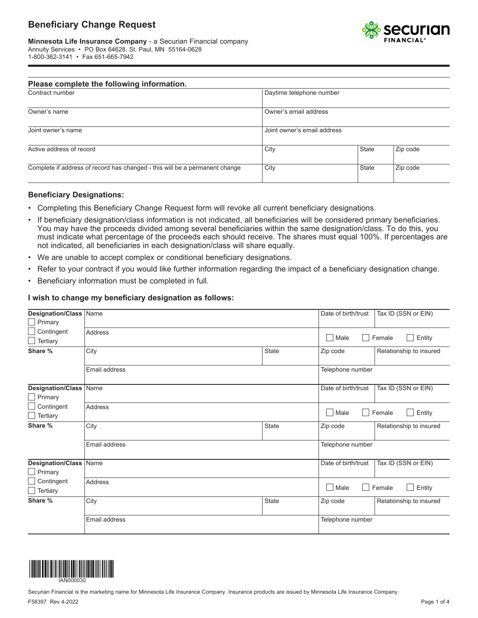# **Beneficiary Change Request**



| Please complete the following information.                                  |                             |              |          |
|-----------------------------------------------------------------------------|-----------------------------|--------------|----------|
| Contract number                                                             | Daytime telephone number    |              |          |
| Owner's name                                                                | Owner's email address       |              |          |
| Joint owner's name                                                          | Joint owner's email address |              |          |
| Active address of record                                                    | City                        | <b>State</b> | Zip code |
| Complete if address of record has changed - this will be a permanent change | City                        | <b>State</b> | Zip code |

### **Beneficiary Designations:**

- Completing this Beneficiary Change Request form will revoke all current beneficiary designations.
- If beneficiary designation/class information is not indicated, all beneficiaries will be considered primary beneficiaries. You may have the proceeds divided among several beneficiaries within the same designation/class. To do this, you must indicate what percentage of the proceeds each should receive. The shares must equal 100%. If percentages are not indicated, all beneficiaries in each designation/class will share equally.
- We are unable to accept complex or conditional beneficiary designations.
- Refer to your contract if you would like further information regarding the impact of a beneficiary designation change.
- Beneficiary information must be completed in full.

#### **I wish to change my beneficiary designation as follows:**

| Designation/Class Name                          |                |              | Date of birth/trust      | Tax ID (SSN or EIN)     |
|-------------------------------------------------|----------------|--------------|--------------------------|-------------------------|
| $\Box$ Primary                                  |                |              |                          |                         |
| Contingent                                      | <b>Address</b> |              | Male                     | Female<br>Entity        |
| Tertiary                                        |                |              |                          |                         |
| Share %                                         | City           | State        | Zip code                 | Relationship to insured |
|                                                 | Email address  |              | Telephone number         |                         |
| Designation/Class Name<br>$\Box$ Primary        |                |              | Date of birth/trust      | Tax ID (SSN or EIN)     |
| Contingent<br>Tertiary                          | Address        |              | Entity<br>Male<br>Female |                         |
| Share %                                         | City           | State        | Zip code                 | Relationship to insured |
|                                                 | Email address  |              | Telephone number         |                         |
| <b>Designation/Class Name</b><br>$\Box$ Primary |                |              | Date of birth/trust      | Tax ID (SSN or EIN)     |
| Contingent<br>$\Box$ Tertiary                   | Address        |              | Male<br>Female<br>Entity |                         |
| Share %                                         | City           | <b>State</b> | Zip code                 | Relationship to insured |
|                                                 | Email address  |              | Telephone number         |                         |

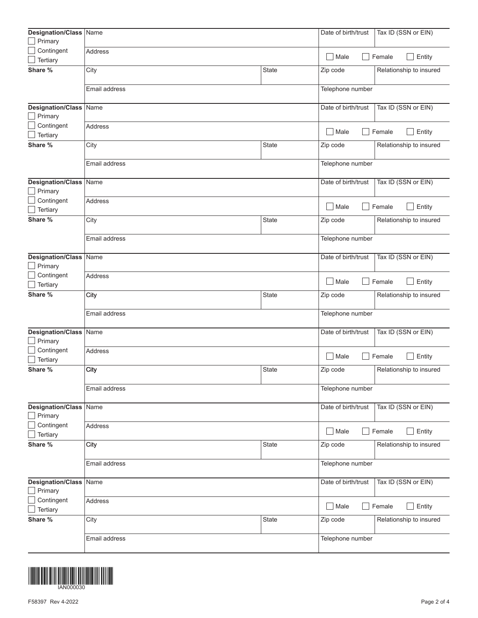| Designation/Class                               | Name           |              | Date of birth/trust                       | Tax ID (SSN or EIN)     |  |
|-------------------------------------------------|----------------|--------------|-------------------------------------------|-------------------------|--|
| Primary                                         |                |              |                                           |                         |  |
| Contingent                                      | Address        |              |                                           |                         |  |
| Tertiary                                        |                |              | $\blacksquare$<br>Male                    | Female<br>Entity        |  |
| Share %                                         | City           | State        | Zip code                                  | Relationship to insured |  |
|                                                 | Email address  |              | Telephone number                          |                         |  |
| Designation/Class<br>Primary                    | Name           |              | Date of birth/trust                       | Tax ID (SSN or EIN)     |  |
| Contingent<br>Tertiary                          | Address        |              | $\mathbf{I}$<br>Male                      | Female<br>Entity        |  |
| Share %                                         | City           | <b>State</b> | Zip code                                  | Relationship to insured |  |
|                                                 | Email address  |              | Telephone number                          |                         |  |
| <b>Designation/Class</b><br>Primary             | Name           |              | Date of birth/trust                       | Tax ID (SSN or EIN)     |  |
| Contingent<br>Tertiary                          | Address        |              | $\mathcal{L}$<br>Male<br>Female<br>Entity |                         |  |
| Share %                                         | City           | <b>State</b> | Zip code                                  | Relationship to insured |  |
| Email address                                   |                |              | Telephone number                          |                         |  |
| Designation/Class<br>Primary                    | Name           |              | Date of birth/trust                       | Tax ID (SSN or EIN)     |  |
| Contingent<br>Tertiary                          | Address        |              | $\mathbf{I}$<br>Male                      | Female<br>Entity        |  |
| Share %                                         | City           | <b>State</b> | Zip code                                  | Relationship to insured |  |
|                                                 | Email address  |              | Telephone number                          |                         |  |
| Designation/Class<br>Primary                    | Name           |              | Date of birth/trust                       | Tax ID (SSN or EIN)     |  |
| Contingent<br>Tertiary                          | Address        |              | $\mathbf{I}$<br>Male<br>Female<br>Entity  |                         |  |
| Share %                                         | City           | <b>State</b> | Zip code                                  | Relationship to insured |  |
|                                                 | Email address  |              | Telephone number                          |                         |  |
| <b>Designation/Class Name</b><br>$\Box$ Primary |                |              | Date of birth/trust                       | Tax ID (SSN or EIN)     |  |
| Contingent<br>Tertiary                          | <b>Address</b> |              | $\Box$ Male                               | Entity<br>Female        |  |
| Share %                                         | City           | State        | Zip code                                  | Relationship to insured |  |
|                                                 | Email address  |              | Telephone number                          |                         |  |
| Designation/Class<br>Primary                    | Name           |              | Date of birth/trust                       | Tax ID (SSN or EIN)     |  |
| Contingent<br>Tertiary                          | Address        |              | $\Box$ Male<br>Entity<br>Female           |                         |  |
| Share %                                         | City           | State        | Zip code                                  | Relationship to insured |  |
|                                                 | Email address  |              | Telephone number                          |                         |  |

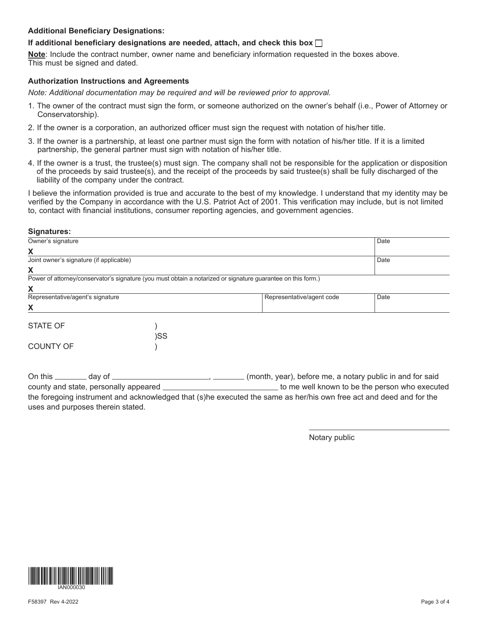# **Additional Beneficiary Designations:**

### **If additional beneficiary designations are needed, attach, and check this box**

**Note**: Include the contract number, owner name and beneficiary information requested in the boxes above. This must be signed and dated.

#### **Authorization Instructions and Agreements**

*Note: Additional documentation may be required and will be reviewed prior to approval.* 

- 1. The owner of the contract must sign the form, or someone authorized on the owner's behalf (i.e., Power of Attorney or Conservatorship).
- 2. If the owner is a corporation, an authorized officer must sign the request with notation of his/her title.
- 3. If the owner is a partnership, at least one partner must sign the form with notation of his/her title. If it is a limited partnership, the general partner must sign with notation of his/her title.
- 4. If the owner is a trust, the trustee(s) must sign. The company shall not be responsible for the application or disposition of the proceeds by said trustee(s), and the receipt of the proceeds by said trustee(s) shall be fully discharged of the liability of the company under the contract.

I believe the information provided is true and accurate to the best of my knowledge. I understand that my identity may be verified by the Company in accordance with the U.S. Patriot Act of 2001. This verification may include, but is not limited to, contact with financial institutions, consumer reporting agencies, and government agencies.

#### **Signatures:**

| Date<br>Date<br>Power of attorney/conservator's signature (you must obtain a notarized or signature guarantee on this form.)<br>Representative/agent code<br>Date<br>)SS |                                         |  |  |  |
|--------------------------------------------------------------------------------------------------------------------------------------------------------------------------|-----------------------------------------|--|--|--|
|                                                                                                                                                                          | Owner's signature                       |  |  |  |
|                                                                                                                                                                          | Χ                                       |  |  |  |
|                                                                                                                                                                          | Joint owner's signature (if applicable) |  |  |  |
|                                                                                                                                                                          | X                                       |  |  |  |
|                                                                                                                                                                          |                                         |  |  |  |
|                                                                                                                                                                          | χ                                       |  |  |  |
|                                                                                                                                                                          | Representative/agent's signature        |  |  |  |
|                                                                                                                                                                          | X                                       |  |  |  |
|                                                                                                                                                                          | <b>STATE OF</b>                         |  |  |  |
|                                                                                                                                                                          |                                         |  |  |  |
|                                                                                                                                                                          | <b>COUNTY OF</b>                        |  |  |  |

On this \_\_\_\_\_\_\_ day of \_\_\_\_\_\_\_\_\_\_\_\_\_\_\_\_\_\_\_\_\_\_\_\_\_\_, \_\_\_\_\_\_\_\_(month, year), before me, a notary public in and for said county and state, personally appeared **the metally appeared** to me well known to be the person who executed the foregoing instrument and acknowledged that (s)he executed the same as her/his own free act and deed and for the uses and purposes therein stated.

Notary public